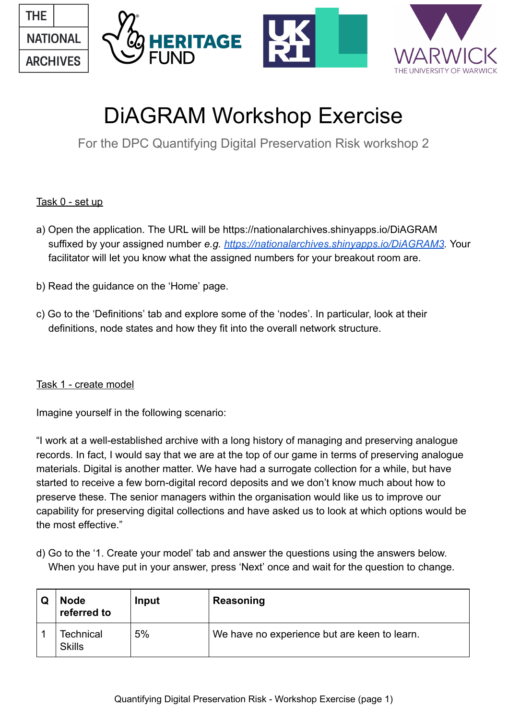

# DiAGRAM Workshop Exercise

For the DPC Quantifying Digital Preservation Risk workshop 2

# Task 0 - set up

- a) Open the application. The URL will be https://nationalarchives.shinyapps.io/DiAGRAM suffixed by your assigned number *e.g.<https://nationalarchives.shinyapps.io/DiAGRAM3> .* Your facilitator will let you know what the assigned numbers for your breakout room are.
- b) Read the guidance on the 'Home' page.
- c) Go to the 'Definitions' tab and explore some of the 'nodes'. In particular, look at their definitions, node states and how they fit into the overall network structure.

# Task 1 - create model

Imagine yourself in the following scenario:

"I work at a well-established archive with a long history of managing and preserving analogue records. In fact, I would say that we are at the top of our game in terms of preserving analogue materials. Digital is another matter. We have had a surrogate collection for a while, but have started to receive a few born-digital record deposits and we don't know much about how to preserve these. The senior managers within the organisation would like us to improve our capability for preserving digital collections and have asked us to look at which options would be the most effective."

d) Go to the '1. Create your model' tab and answer the questions using the answers below. When you have put in your answer, press 'Next' once and wait for the question to change.

| <b>Node</b><br>referred to        | Input | Reasoning                                    |
|-----------------------------------|-------|----------------------------------------------|
| <b>Technical</b><br><b>Skills</b> | 5%    | We have no experience but are keen to learn. |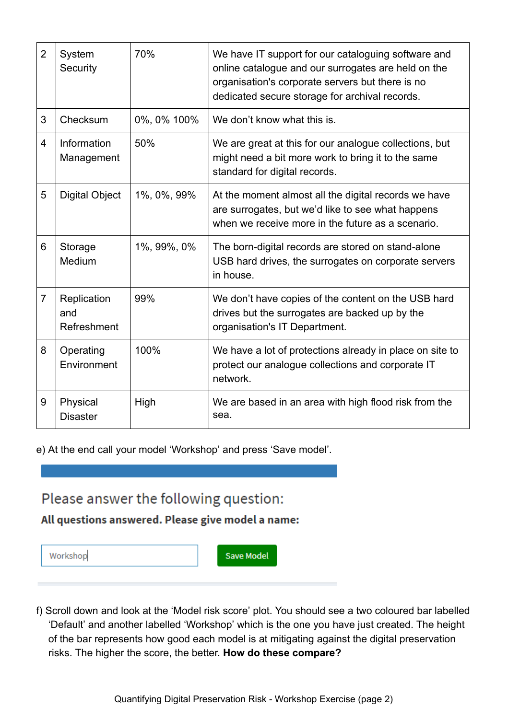| $\overline{2}$ | System<br>Security                | 70%         | We have IT support for our cataloguing software and<br>online catalogue and our surrogates are held on the<br>organisation's corporate servers but there is no<br>dedicated secure storage for archival records. |
|----------------|-----------------------------------|-------------|------------------------------------------------------------------------------------------------------------------------------------------------------------------------------------------------------------------|
| 3              | Checksum                          | 0%, 0% 100% | We don't know what this is.                                                                                                                                                                                      |
| 4              | Information<br>Management         | 50%         | We are great at this for our analogue collections, but<br>might need a bit more work to bring it to the same<br>standard for digital records.                                                                    |
| 5              | <b>Digital Object</b>             | 1%, 0%, 99% | At the moment almost all the digital records we have<br>are surrogates, but we'd like to see what happens<br>when we receive more in the future as a scenario.                                                   |
| 6              | Storage<br>Medium                 | 1%, 99%, 0% | The born-digital records are stored on stand-alone<br>USB hard drives, the surrogates on corporate servers<br>in house.                                                                                          |
| $\overline{7}$ | Replication<br>and<br>Refreshment | 99%         | We don't have copies of the content on the USB hard<br>drives but the surrogates are backed up by the<br>organisation's IT Department.                                                                           |
| 8              | Operating<br>Environment          | 100%        | We have a lot of protections already in place on site to<br>protect our analogue collections and corporate IT<br>network.                                                                                        |
| 9              | Physical<br><b>Disaster</b>       | High        | We are based in an area with high flood risk from the<br>sea.                                                                                                                                                    |

e) At the end call your model 'Workshop' and press 'Save model'.

# Please answer the following question:

All questions answered. Please give model a name:

| Workshop |
|----------|
|----------|

Save Model

f) Scroll down and look at the 'Model risk score' plot. You should see a two coloured bar labelled 'Default' and another labelled 'Workshop' which is the one you have just created. The height of the bar represents how good each model is at mitigating against the digital preservation risks. The higher the score, the better. **How do these compare?**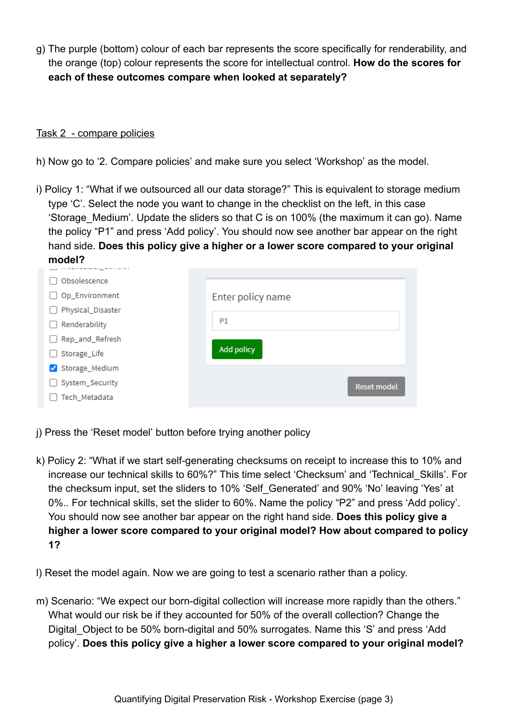g) The purple (bottom) colour of each bar represents the score specifically for renderability, and the orange (top) colour represents the score for intellectual control. **How do the scores for each of these outcomes compare when looked at separately?** 

#### Task 2 - compare policies

- h) Now go to '2. Compare policies' and make sure you select 'Workshop' as the model.
- i) Policy 1: "What if we outsourced all our data storage?" This is equivalent to storage medium type 'C'. Select the node you want to change in the checklist on the left, in this case 'Storage Medium'. Update the sliders so that C is on 100% (the maximum it can go). Name the policy "P1" and press 'Add policy'. You should now see another bar appear on the right hand side. **Does this policy give a higher or a lower score compared to your original model?**

| Obsolescence      |                    |
|-------------------|--------------------|
| Op_Environment    | Enter policy name  |
| Physical_Disaster |                    |
| Renderability     | <b>P1</b>          |
| Rep_and_Refresh   |                    |
| Storage_Life      | <b>Add policy</b>  |
| Storage_Medium    |                    |
| System_Security   | <b>Reset model</b> |
| Tech_Metadata     |                    |
|                   |                    |

- j) Press the 'Reset model' button before trying another policy
- k) Policy 2: "What if we start self-generating checksums on receipt to increase this to 10% and increase our technical skills to 60%?" This time select 'Checksum' and 'Technical\_Skills'. For the checksum input, set the sliders to 10% 'Self\_Generated' and 90% 'No' leaving 'Yes' at 0%.. For technical skills, set the slider to 60%. Name the policy "P2" and press 'Add policy'. You should now see another bar appear on the right hand side. **Does this policy give a higher a lower score compared to your original model? How about compared to policy 1?**
- l) Reset the model again. Now we are going to test a scenario rather than a policy.
- m) Scenario: "We expect our born-digital collection will increase more rapidly than the others." What would our risk be if they accounted for 50% of the overall collection? Change the Digital Object to be 50% born-digital and 50% surrogates. Name this 'S' and press 'Add policy'. **Does this policy give a higher a lower score compared to your original model?**